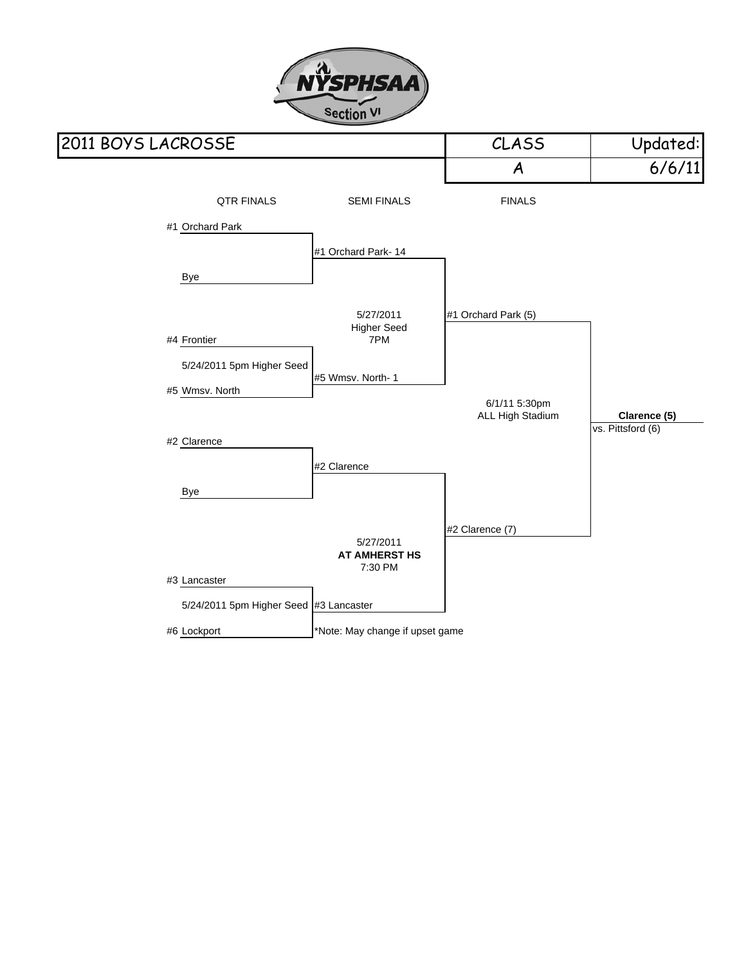

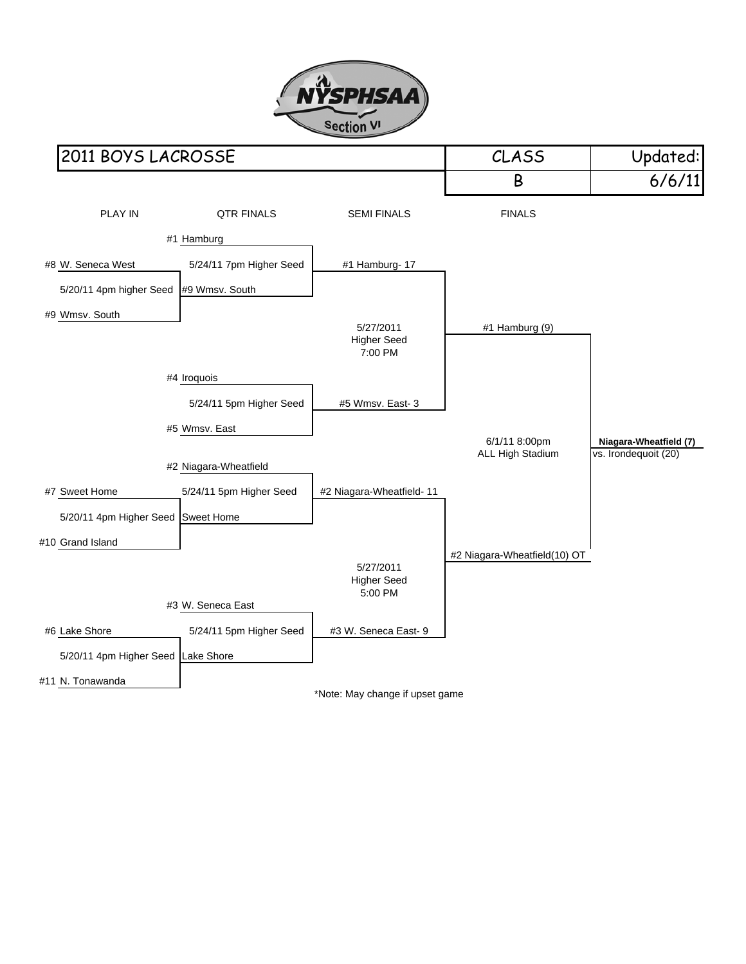